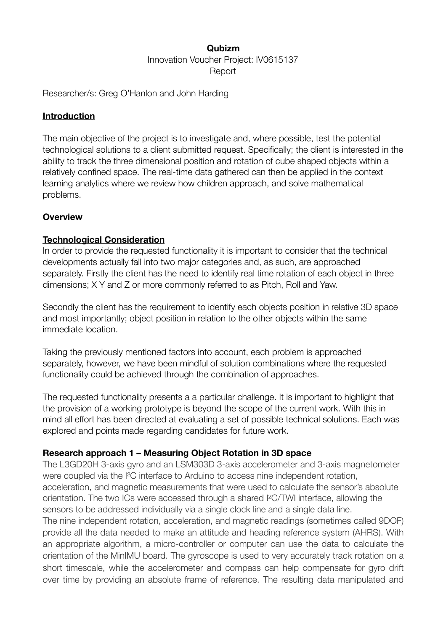### **Qubizm**

Innovation Voucher Project: IV0615137 **Report** 

Researcher/s: Greg O'Hanlon and John Harding

#### **Introduction**

The main objective of the project is to investigate and, where possible, test the potential technological solutions to a client submitted request. Specifically; the client is interested in the ability to track the three dimensional position and rotation of cube shaped objects within a relatively confined space. The real-time data gathered can then be applied in the context learning analytics where we review how children approach, and solve mathematical problems.

#### **Overview**

#### **Technological Consideration**

In order to provide the requested functionality it is important to consider that the technical developments actually fall into two major categories and, as such, are approached separately. Firstly the client has the need to identify real time rotation of each object in three dimensions; X Y and Z or more commonly referred to as Pitch, Roll and Yaw.

Secondly the client has the requirement to identify each objects position in relative 3D space and most importantly; object position in relation to the other objects within the same immediate location.

Taking the previously mentioned factors into account, each problem is approached separately, however, we have been mindful of solution combinations where the requested functionality could be achieved through the combination of approaches.

The requested functionality presents a a particular challenge. It is important to highlight that the provision of a working prototype is beyond the scope of the current work. With this in mind all effort has been directed at evaluating a set of possible technical solutions. Each was explored and points made regarding candidates for future work.

### **Research approach 1 – Measuring Object Rotation in 3D space**

The L3GD20H 3-axis gyro and an LSM303D 3-axis accelerometer and 3-axis magnetometer were coupled via the I²C interface to Arduino to access nine independent rotation, acceleration, and magnetic measurements that were used to calculate the sensor's absolute orientation. The two ICs were accessed through a shared I²C/TWI interface, allowing the sensors to be addressed individually via a single clock line and a single data line.

The nine independent rotation, acceleration, and magnetic readings (sometimes called 9DOF) provide all the data needed to make an attitude and heading reference system (AHRS). With an appropriate algorithm, a micro-controller or computer can use the data to calculate the orientation of the MinIMU board. The gyroscope is used to very accurately track rotation on a short timescale, while the accelerometer and compass can help compensate for gyro drift over time by providing an absolute frame of reference. The resulting data manipulated and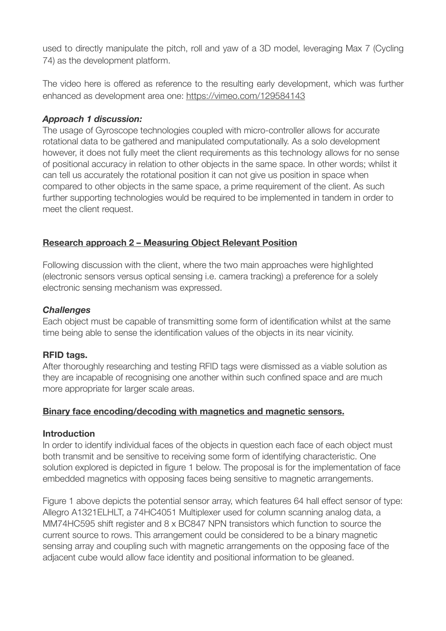used to directly manipulate the pitch, roll and yaw of a 3D model, leveraging Max 7 (Cycling 74) as the development platform.

The video here is offered as reference to the resulting early development, which was further enhanced as development area one:<https://vimeo.com/129584143>

### *Approach 1 discussion:*

The usage of Gyroscope technologies coupled with micro-controller allows for accurate rotational data to be gathered and manipulated computationally. As a solo development however, it does not fully meet the client requirements as this technology allows for no sense of positional accuracy in relation to other objects in the same space. In other words; whilst it can tell us accurately the rotational position it can not give us position in space when compared to other objects in the same space, a prime requirement of the client. As such further supporting technologies would be required to be implemented in tandem in order to meet the client request.

# **Research approach 2 – Measuring Object Relevant Position**

Following discussion with the client, where the two main approaches were highlighted (electronic sensors versus optical sensing i.e. camera tracking) a preference for a solely electronic sensing mechanism was expressed.

## *Challenges*

Each object must be capable of transmitting some form of identification whilst at the same time being able to sense the identification values of the objects in its near vicinity.

# **RFID tags.**

After thoroughly researching and testing RFID tags were dismissed as a viable solution as they are incapable of recognising one another within such confined space and are much more appropriate for larger scale areas.

# **Binary face encoding/decoding with magnetics and magnetic sensors.**

### **Introduction**

In order to identify individual faces of the objects in question each face of each object must both transmit and be sensitive to receiving some form of identifying characteristic. One solution explored is depicted in figure 1 below. The proposal is for the implementation of face embedded magnetics with opposing faces being sensitive to magnetic arrangements.

Figure 1 above depicts the potential sensor array, which features 64 hall effect sensor of type: Allegro A1321ELHLT, a 74HC4051 Multiplexer used for column scanning analog data, a MM74HC595 shift register and 8 x BC847 NPN transistors which function to source the current source to rows. This arrangement could be considered to be a binary magnetic sensing array and coupling such with magnetic arrangements on the opposing face of the adjacent cube would allow face identity and positional information to be gleaned.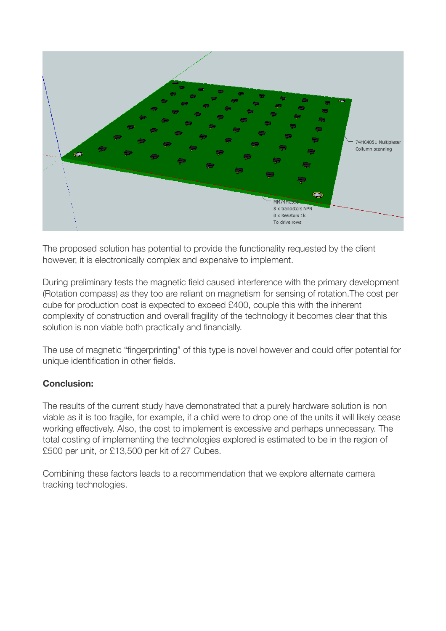

The proposed solution has potential to provide the functionality requested by the client however, it is electronically complex and expensive to implement.

During preliminary tests the magnetic field caused interference with the primary development (Rotation compass) as they too are reliant on magnetism for sensing of rotation.The cost per cube for production cost is expected to exceed £400, couple this with the inherent complexity of construction and overall fragility of the technology it becomes clear that this solution is non viable both practically and financially.

The use of magnetic "fingerprinting" of this type is novel however and could offer potential for unique identification in other fields.

# **Conclusion:**

The results of the current study have demonstrated that a purely hardware solution is non viable as it is too fragile, for example, if a child were to drop one of the units it will likely cease working effectively. Also, the cost to implement is excessive and perhaps unnecessary. The total costing of implementing the technologies explored is estimated to be in the region of £500 per unit, or £13,500 per kit of 27 Cubes.

Combining these factors leads to a recommendation that we explore alternate camera tracking technologies.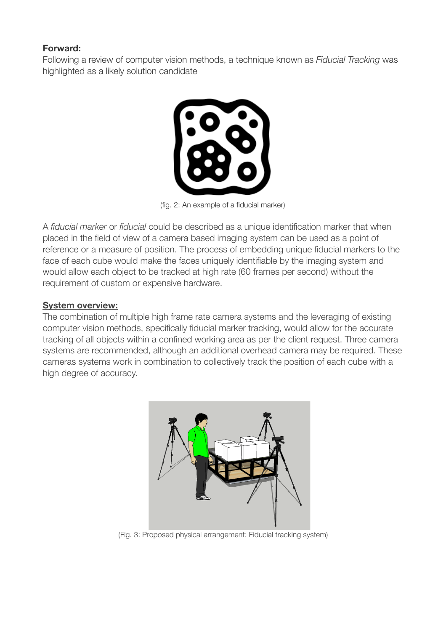### **Forward:**

Following a review of computer vision methods, a technique known as *Fiducial Tracking* was highlighted as a likely solution candidate



(fig. 2: An example of a fiducial marker)

A *fiducial marker* or *fiducial* could be described as a unique identification marker that when placed in the field of view of a camera based imaging system can be used as a point of reference or a measure of position. The process of embedding unique fiducial markers to the face of each cube would make the faces uniquely identifiable by the imaging system and would allow each object to be tracked at high rate (60 frames per second) without the requirement of custom or expensive hardware.

### **System overview:**

The combination of multiple high frame rate camera systems and the leveraging of existing computer vision methods, specifically fiducial marker tracking, would allow for the accurate tracking of all objects within a confined working area as per the client request. Three camera systems are recommended, although an additional overhead camera may be required. These cameras systems work in combination to collectively track the position of each cube with a high degree of accuracy.



(Fig. 3: Proposed physical arrangement: Fiducial tracking system)